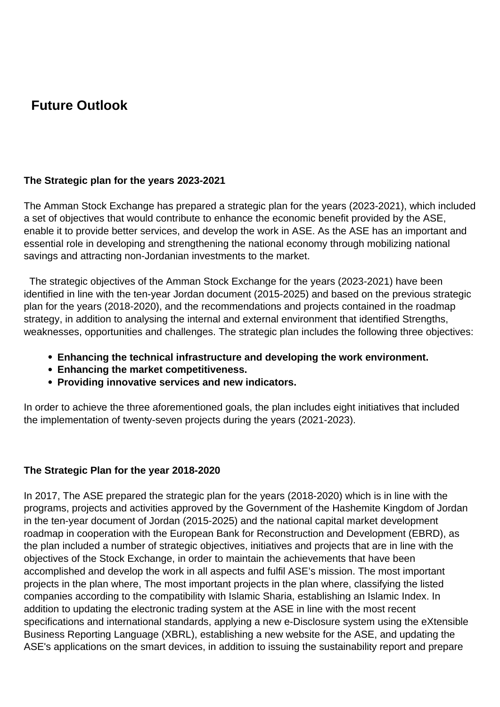## **Future Outlook**

## **The Strategic plan for the years 2023-2021**

The Amman Stock Exchange has prepared a strategic plan for the years (2023-2021), which included a set of objectives that would contribute to enhance the economic benefit provided by the ASE, enable it to provide better services, and develop the work in ASE. As the ASE has an important and essential role in developing and strengthening the national economy through mobilizing national savings and attracting non-Jordanian investments to the market.

 The strategic objectives of the Amman Stock Exchange for the years (2023-2021) have been identified in line with the ten-year Jordan document (2015-2025) and based on the previous strategic plan for the years (2018-2020), and the recommendations and projects contained in the roadmap strategy, in addition to analysing the internal and external environment that identified Strengths, weaknesses, opportunities and challenges. The strategic plan includes the following three objectives:

- **Enhancing the technical infrastructure and developing the work environment.**
- **Enhancing the market competitiveness.**
- **Providing innovative services and new indicators.**

In order to achieve the three aforementioned goals, the plan includes eight initiatives that included the implementation of twenty-seven projects during the years (2021-2023).

## **The Strategic Plan for the year 2018-2020**

In 2017, The ASE prepared the strategic plan for the years (2018-2020) which is in line with the programs, projects and activities approved by the Government of the Hashemite Kingdom of Jordan in the ten-year document of Jordan (2015-2025) and the national capital market development roadmap in cooperation with the European Bank for Reconstruction and Development (EBRD), as the plan included a number of strategic objectives, initiatives and projects that are in line with the objectives of the Stock Exchange, in order to maintain the achievements that have been accomplished and develop the work in all aspects and fulfil ASE's mission. The most important projects in the plan where, The most important projects in the plan where, classifying the listed companies according to the compatibility with Islamic Sharia, establishing an Islamic Index. In addition to updating the electronic trading system at the ASE in line with the most recent specifications and international standards, applying a new e-Disclosure system using the eXtensible Business Reporting Language (XBRL), establishing a new website for the ASE, and updating the ASE's applications on the smart devices, in addition to issuing the sustainability report and prepare